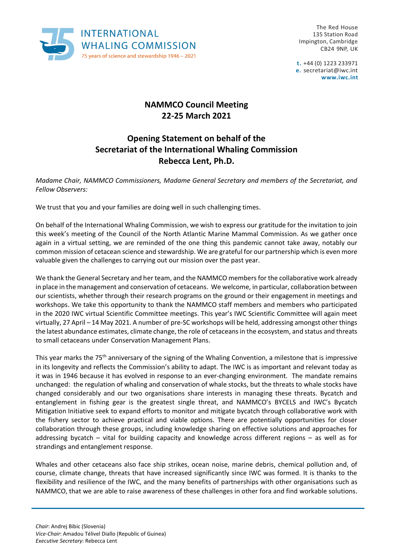

The Red House 135 Station Road Impington, Cambridge CB24 9NP, UK

**t.** +44 (0) 1223 233971 **e.** [secretariat@iwc.int](mailto:secretariat@iwc.int) **[www.iwc.int](http://www.iwc.int/)**

## **NAMMCO Council Meeting 22-25 March 2021**

## **Opening Statement on behalf of the Secretariat of the International Whaling Commission Rebecca Lent, Ph.D.**

*Madame Chair, NAMMCO Commissioners, Madame General Secretary and members of the Secretariat, and Fellow Observers:*

We trust that you and your families are doing well in such challenging times.

On behalf of the International Whaling Commission, we wish to express our gratitude for the invitation to join this week's meeting of the Council of the North Atlantic Marine Mammal Commission. As we gather once again in a virtual setting, we are reminded of the one thing this pandemic cannot take away, notably our common mission of cetacean science and stewardship. We are grateful for our partnership which is even more valuable given the challenges to carrying out our mission over the past year.

We thank the General Secretary and her team, and the NAMMCO members for the collaborative work already in place in the management and conservation of cetaceans. We welcome, in particular, collaboration between our scientists, whether through their research programs on the ground or their engagement in meetings and workshops. We take this opportunity to thank the NAMMCO staff members and members who participated in the 2020 IWC virtual Scientific Committee meetings. This year's IWC Scientific Committee will again meet virtually, 27 April – 14 May 2021. A number of pre-SC workshops will be held, addressing amongst other things the latest abundance estimates, climate change, the role of cetaceans in the ecosystem, and status and threats to small cetaceans under Conservation Management Plans.

This year marks the 75<sup>th</sup> anniversary of the signing of the Whaling Convention, a milestone that is impressive in its longevity and reflects the Commission's ability to adapt. The IWC is as important and relevant today as it was in 1946 because it has evolved in response to an ever-changing environment. The mandate remains unchanged: the regulation of whaling and conservation of whale stocks, but the threats to whale stocks have changed considerably and our two organisations share interests in managing these threats. Bycatch and entanglement in fishing gear is the greatest single threat, and NAMMCO's BYCELS and IWC's Bycatch Mitigation Initiative seek to expand efforts to monitor and mitigate bycatch through collaborative work with the fishery sector to achieve practical and viable options. There are potentially opportunities for closer collaboration through these groups, including knowledge sharing on effective solutions and approaches for addressing bycatch – vital for building capacity and knowledge across different regions – as well as for strandings and entanglement response.

Whales and other cetaceans also face ship strikes, ocean noise, marine debris, chemical pollution and, of course, climate change, threats that have increased significantly since IWC was formed. It is thanks to the flexibility and resilience of the IWC, and the many benefits of partnerships with other organisations such as NAMMCO, that we are able to raise awareness of these challenges in other fora and find workable solutions.